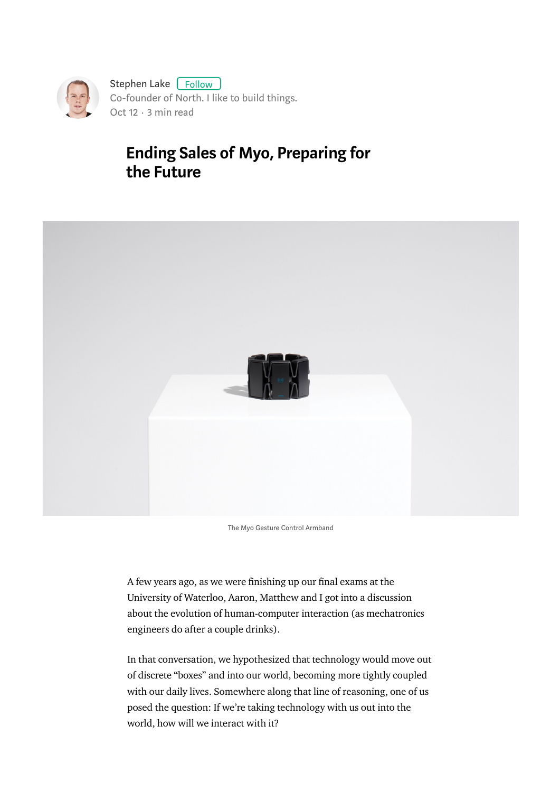

# Ending Sales of Myo, Preparing for the Future



The Myo Gesture Control Armband

A few years ago, as we were finishing up our final exams at the University of Waterloo, Aaron, Matthew and I got into a discussion about the evolution of human-computer interaction (as mechatronics engineers do after a couple drinks).

In that conversation, we hypothesized that technology would move out of discrete "boxes" and into our world, becoming more tightly coupled with our daily lives. Somewhere along that line of reasoning, one of us posed the question: If we're taking technology with us out into the world, how will we interact with it?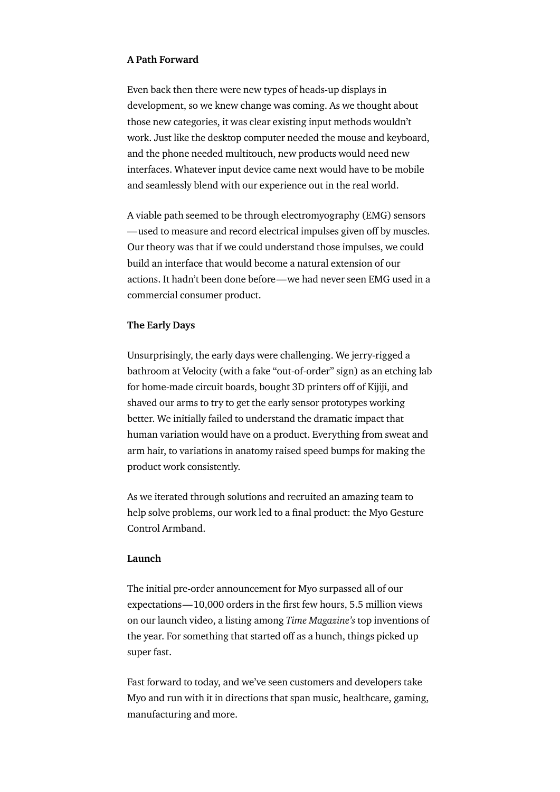## A Path Forward

Even back then there were new types of heads-up displays in development, so we knew change was coming. As we thought about those new categories, it was clear existing input methods wouldn't work. Just like the desktop computer needed the mouse and keyboard, and the phone needed multitouch, new products would need new interfaces. Whatever input device came next would have to be mobile and seamlessly blend with our experience out in the real world.

A viable path seemed to be through electromyography (EMG) sensors —used to measure and record electrical impulses given off by muscles. Our theory was that if we could understand those impulses, we could build an interface that would become a natural extension of our actions. It hadn't been done before—we had never seen EMG used in a commercial consumer product.

### The Early Days

Unsurprisingly, the early days were challenging. We jerry-rigged a bathroom at Velocity (with a fake "out-of-order" sign) as an etching lab for home-made circuit boards, bought 3D printers off of Kijiji, and shaved our arms to try to get the early sensor prototypes working better. We initially failed to understand the dramatic impact that human variation would have on a product. Everything from sweat and arm hair, to variations in anatomy raised speed bumps for making the product work consistently.

As we iterated through solutions and recruited an amazing team to help solve problems, our work led to a final product: the Myo Gesture Control Armband.

#### Launch

The initial pre-order announcement for Myo surpassed all of our  $expectations  $-10,000$  orders in the first few hours, 5.5 million views$ on our launch video, a listing among Time Magazine's top inventions of the year. For something that started off as a hunch, things picked up super fast.

Fast forward to today, and we've seen customers and developers take Myo and run with it in directions that span music, healthcare, gaming, manufacturing and more.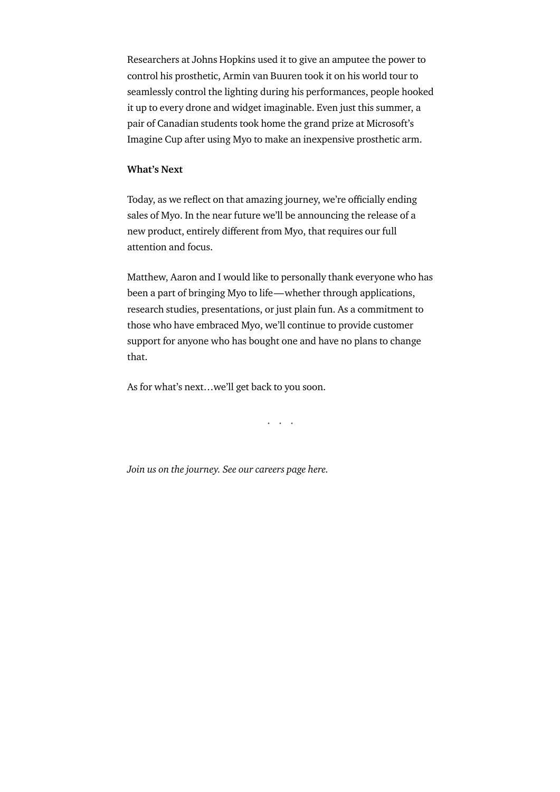Researchers at Johns Hopkins used it to give an amputee the power to control his prosthetic, Armin van Buuren took it on his world tour to seamlessly control the lighting during his performances, people hooked it up to every drone and widget imaginable. Even just this summer, a pair of Canadian students took home the grand prize at Microsoft's Imagine Cup after using Myo to make an inexpensive prosthetic arm.

### What's Next

Today, as we reflect on that amazing journey, we're officially ending sales of Myo. In the near future we'll be announcing the release of a new product, entirely different from Myo, that requires our full attention and focus.

Matthew, Aaron and I would like to personally thank everyone who has been a part of bringing Myo to life—whether through applications, research studies, presentations, or just plain fun. As a commitment to those who have embraced Myo, we'll continue to provide customer support for anyone who has bought one and have no plans to change that.

As for what's next…we'll get back to you soon.

...

Join us on the journey. See our careers page here.